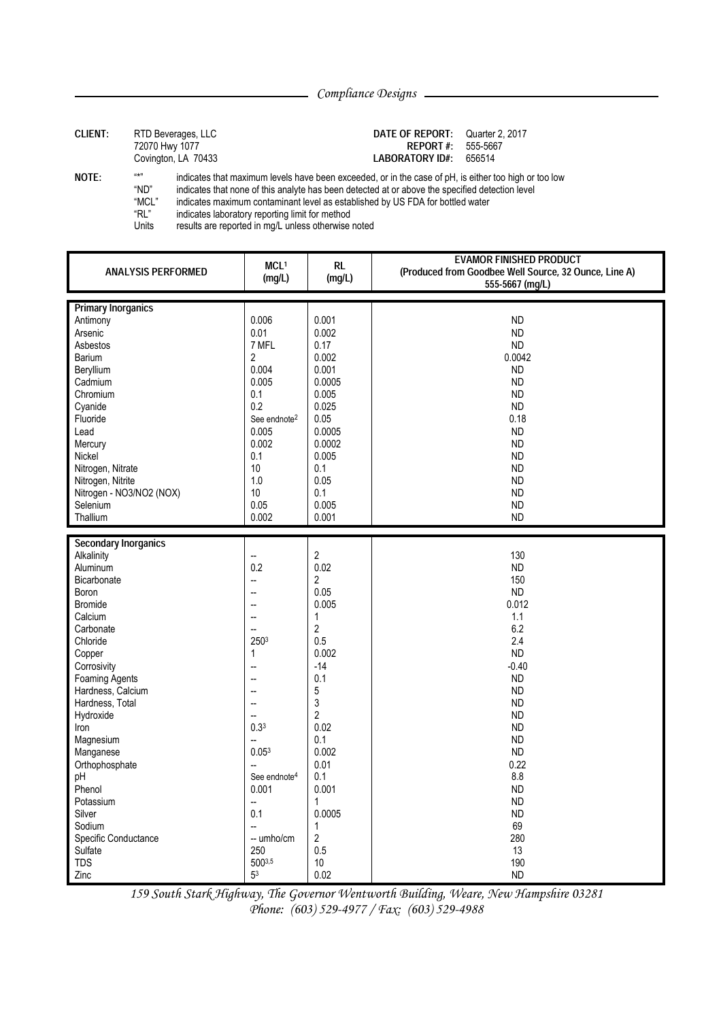| <b>CLIENT:</b> | RTD Beverages, LLC  |
|----------------|---------------------|
|                | 72070 Hwy 1077      |
|                | Covington, LA 70433 |

## DATE OF REPORT: Quarter 2, 2017 **REPORT#:** 555-5667 LABORATORY ID#: 656514

NOTE:

 $u \star n$ indicates that maximum levels have been exceeded, or in the case of pH, is either too high or too low

"ND" indicates that none of this analyte has been detected at or above the specified detection level "MCL"

indicates maximum contaminant level as established by US FDA for bottled water

"RL" indicates laboratory reporting limit for method

Units results are reported in mg/L unless otherwise noted

| <b>ANALYSIS PERFORMED</b>   | MCL <sup>1</sup><br>(mg/L) | <b>RL</b><br>(mg/L) | <b>EVAMOR FINISHED PRODUCT</b><br>(Produced from Goodbee Well Source, 32 Ounce, Line A)<br>555-5667 (mg/L) |
|-----------------------------|----------------------------|---------------------|------------------------------------------------------------------------------------------------------------|
| <b>Primary Inorganics</b>   |                            |                     |                                                                                                            |
| Antimony                    | 0.006                      | 0.001               | <b>ND</b>                                                                                                  |
| Arsenic                     | 0.01                       | 0.002               | <b>ND</b>                                                                                                  |
| Asbestos                    | 7 MFL                      |                     | <b>ND</b>                                                                                                  |
| Barium                      | $\overline{2}$             | 0.17<br>0.002       | 0.0042                                                                                                     |
|                             | 0.004                      |                     |                                                                                                            |
| Beryllium                   |                            | 0.001               | <b>ND</b>                                                                                                  |
| Cadmium                     | 0.005                      | 0.0005              | <b>ND</b>                                                                                                  |
| Chromium                    | 0.1                        | 0.005               | <b>ND</b>                                                                                                  |
| Cyanide                     | 0.2                        | 0.025               | <b>ND</b>                                                                                                  |
| Fluoride                    | See endnote <sup>2</sup>   | 0.05                | 0.18                                                                                                       |
| Lead                        | 0.005                      | 0.0005              | <b>ND</b>                                                                                                  |
| Mercury                     | 0.002                      | 0.0002              | <b>ND</b>                                                                                                  |
| Nickel                      | 0.1                        | 0.005               | <b>ND</b>                                                                                                  |
| Nitrogen, Nitrate           | 10                         | 0.1                 | <b>ND</b>                                                                                                  |
| Nitrogen, Nitrite           | 1.0                        | 0.05                | <b>ND</b>                                                                                                  |
| Nitrogen - NO3/NO2 (NOX)    | 10                         | 0.1                 | <b>ND</b>                                                                                                  |
| Selenium                    | 0.05                       | 0.005               | <b>ND</b>                                                                                                  |
| Thallium                    | 0.002                      | 0.001               | <b>ND</b>                                                                                                  |
|                             |                            |                     |                                                                                                            |
| <b>Secondary Inorganics</b> |                            |                     |                                                                                                            |
| Alkalinity                  | Щ,                         | $\overline{c}$      | 130                                                                                                        |
| Aluminum                    | 0.2                        | 0.02                | <b>ND</b>                                                                                                  |
| <b>Bicarbonate</b>          | ÷.                         | $\overline{2}$      | 150                                                                                                        |
| Boron                       | $\overline{a}$             | 0.05                | <b>ND</b>                                                                                                  |
| <b>Bromide</b>              | $\sim$                     | 0.005               | 0.012                                                                                                      |
| Calcium                     | $\ddot{\phantom{a}}$       | $\mathbf{1}$        | 1.1                                                                                                        |
| Carbonate                   | Щ,                         | $\overline{2}$      | 6.2                                                                                                        |
| Chloride                    | 2503                       | 0.5                 | 2.4                                                                                                        |
| Copper                      | $\mathbf{1}$               | 0.002               | <b>ND</b>                                                                                                  |
| Corrosivity                 | $\ddot{\phantom{a}}$       | $-14$               | $-0.40$                                                                                                    |
| Foaming Agents              | $\overline{a}$             | 0.1                 | <b>ND</b>                                                                                                  |
| Hardness, Calcium           | $\sim$                     | 5                   | <b>ND</b>                                                                                                  |
| Hardness, Total             | Ξ.                         | 3                   | <b>ND</b>                                                                                                  |
| Hydroxide                   | $\sim$                     | $\overline{2}$      | <b>ND</b>                                                                                                  |
| Iron                        | 0.3 <sup>3</sup>           | 0.02                | <b>ND</b>                                                                                                  |
| Magnesium                   | Щ,                         | 0.1                 | <b>ND</b>                                                                                                  |
| Manganese                   | $0.05^{3}$                 | 0.002               | <b>ND</b>                                                                                                  |
| Orthophosphate              | ÷.                         | 0.01                | 0.22                                                                                                       |
| pH                          | See endnote <sup>4</sup>   | 0.1                 | 8.8                                                                                                        |
| Phenol                      | 0.001                      | 0.001               | <b>ND</b>                                                                                                  |
| Potassium                   | ÷                          | $\mathbf{1}$        | <b>ND</b>                                                                                                  |
| Silver                      | 0.1                        | 0.0005              | <b>ND</b>                                                                                                  |
| Sodium                      | ÷.                         | $\mathbf{1}$        | 69                                                                                                         |
| Specific Conductance        | -- umho/cm                 | $\overline{2}$      | 280                                                                                                        |
| Sulfate                     | 250                        | 0.5                 | 13                                                                                                         |
|                             |                            |                     |                                                                                                            |
| <b>TDS</b>                  | $500^{3,5}$                | 10                  | 190                                                                                                        |
| Zinc                        | 5 <sup>3</sup>             | 0.02                | <b>ND</b>                                                                                                  |

159 South Stark Highway, The Governor Wentworth Building, Weare, New Hampshire 03281 Phone: (603) 529-4977 / Fax: (603) 529-4988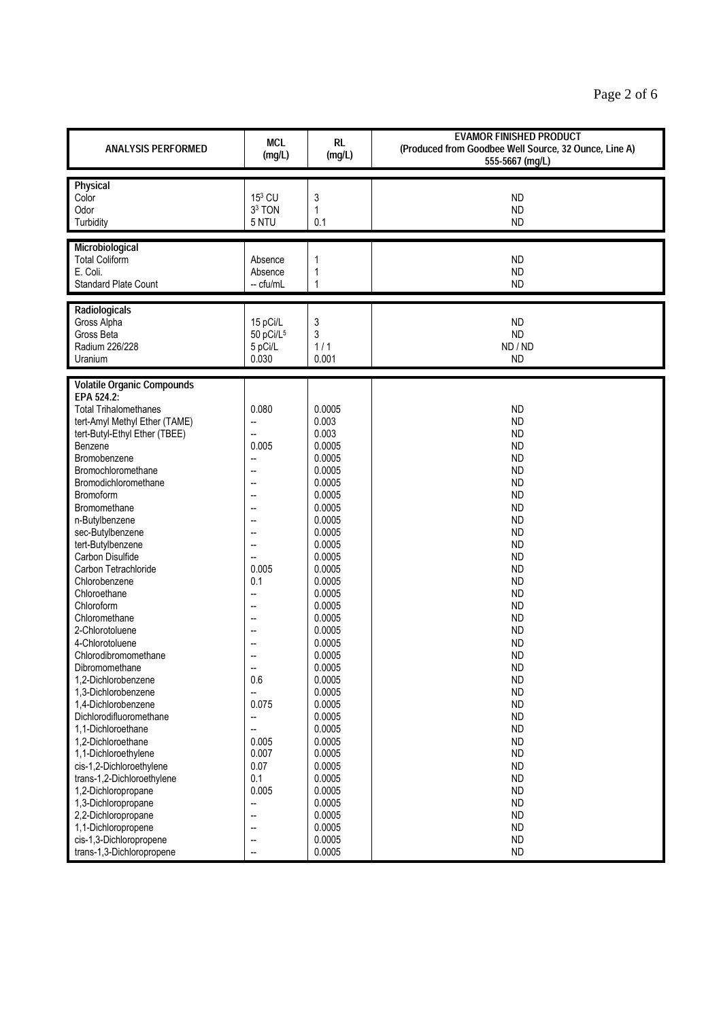| <b>ANALYSIS PERFORMED</b>                       | <b>MCL</b><br>(mg/L)     | <b>RL</b><br>(mg/L) | <b>EVAMOR FINISHED PRODUCT</b><br>(Produced from Goodbee Well Source, 32 Ounce, Line A)<br>555-5667 (mg/L) |
|-------------------------------------------------|--------------------------|---------------------|------------------------------------------------------------------------------------------------------------|
| Physical                                        |                          |                     |                                                                                                            |
| Color                                           | 153 CU                   | 3                   | <b>ND</b>                                                                                                  |
| Odor                                            | 3 <sup>3</sup> TON       | 1                   | <b>ND</b>                                                                                                  |
| Turbidity                                       | 5 NTU                    | 0.1                 | <b>ND</b>                                                                                                  |
| Microbiological                                 |                          |                     |                                                                                                            |
| <b>Total Coliform</b>                           | Absence                  | 1                   | <b>ND</b>                                                                                                  |
| E. Coli.                                        | Absence                  | 1                   | <b>ND</b>                                                                                                  |
| <b>Standard Plate Count</b>                     | -- cfu/mL                | 1                   | <b>ND</b>                                                                                                  |
|                                                 |                          |                     |                                                                                                            |
| Radiologicals<br>Gross Alpha                    | 15 pCi/L                 | 3                   | <b>ND</b>                                                                                                  |
| Gross Beta                                      | 50 pCi/L <sup>5</sup>    | 3                   | <b>ND</b>                                                                                                  |
| Radium 226/228                                  | 5 pCi/L                  | 1/1                 | ND / ND                                                                                                    |
| Uranium                                         | 0.030                    | 0.001               | <b>ND</b>                                                                                                  |
|                                                 |                          |                     |                                                                                                            |
| <b>Volatile Organic Compounds</b><br>EPA 524.2: |                          |                     |                                                                                                            |
| <b>Total Trihalomethanes</b>                    | 0.080                    | 0.0005              | <b>ND</b>                                                                                                  |
| tert-Amyl Methyl Ether (TAME)                   | --                       | 0.003               | <b>ND</b>                                                                                                  |
| tert-Butyl-Ethyl Ether (TBEE)                   | Ξ.                       | 0.003               | <b>ND</b>                                                                                                  |
| Benzene                                         | 0.005                    | 0.0005              | <b>ND</b>                                                                                                  |
| Bromobenzene                                    | $\overline{a}$           | 0.0005              | <b>ND</b>                                                                                                  |
| Bromochloromethane                              | Ξ.                       | 0.0005              | <b>ND</b>                                                                                                  |
| Bromodichloromethane                            | Ξ.                       | 0.0005              | <b>ND</b>                                                                                                  |
| Bromoform                                       |                          | 0.0005              | <b>ND</b>                                                                                                  |
| Bromomethane                                    |                          | 0.0005              | <b>ND</b>                                                                                                  |
| n-Butylbenzene                                  | ÷.                       | 0.0005              | <b>ND</b>                                                                                                  |
| sec-Butylbenzene                                |                          | 0.0005              | <b>ND</b>                                                                                                  |
| tert-Butylbenzene<br><b>Carbon Disulfide</b>    | --                       | 0.0005<br>0.0005    | <b>ND</b><br><b>ND</b>                                                                                     |
| Carbon Tetrachloride                            | 0.005                    | 0.0005              | <b>ND</b>                                                                                                  |
| Chlorobenzene                                   | 0.1                      | 0.0005              | <b>ND</b>                                                                                                  |
| Chloroethane                                    | --                       | 0.0005              | <b>ND</b>                                                                                                  |
| Chloroform                                      | $\sim$                   | 0.0005              | <b>ND</b>                                                                                                  |
| Chloromethane                                   |                          | 0.0005              | <b>ND</b>                                                                                                  |
| 2-Chlorotoluene                                 |                          | 0.0005              | <b>ND</b>                                                                                                  |
| 4-Chlorotoluene                                 | --                       | 0.0005              | <b>ND</b>                                                                                                  |
| Chlorodibromomethane                            |                          | 0.0005              | <b>ND</b>                                                                                                  |
| Dibromomethane                                  |                          | 0.0005              | <b>ND</b>                                                                                                  |
| 1,2-Dichlorobenzene                             | 0.6                      | 0.0005              | <b>ND</b>                                                                                                  |
| 1,3-Dichlorobenzene                             | --<br>0.075              | 0.0005              | <b>ND</b>                                                                                                  |
| 1,4-Dichlorobenzene<br>Dichlorodifluoromethane  | --                       | 0.0005<br>0.0005    | <b>ND</b><br><b>ND</b>                                                                                     |
| 1,1-Dichloroethane                              | Ξ.                       | 0.0005              | <b>ND</b>                                                                                                  |
| 1,2-Dichloroethane                              | 0.005                    | 0.0005              | <b>ND</b>                                                                                                  |
| 1,1-Dichloroethylene                            | 0.007                    | 0.0005              | <b>ND</b>                                                                                                  |
| cis-1,2-Dichloroethylene                        | 0.07                     | 0.0005              | <b>ND</b>                                                                                                  |
| trans-1,2-Dichloroethylene                      | 0.1                      | 0.0005              | <b>ND</b>                                                                                                  |
| 1,2-Dichloropropane                             | 0.005                    | 0.0005              | <b>ND</b>                                                                                                  |
| 1,3-Dichloropropane                             | --                       | 0.0005              | <b>ND</b>                                                                                                  |
| 2,2-Dichloropropane                             | --                       | 0.0005              | <b>ND</b>                                                                                                  |
| 1,1-Dichloropropene                             | $\sim$                   | 0.0005              | <b>ND</b>                                                                                                  |
| cis-1,3-Dichloropropene                         | $\overline{\phantom{a}}$ | 0.0005              | <b>ND</b>                                                                                                  |
| trans-1,3-Dichloropropene                       |                          | 0.0005              | <b>ND</b>                                                                                                  |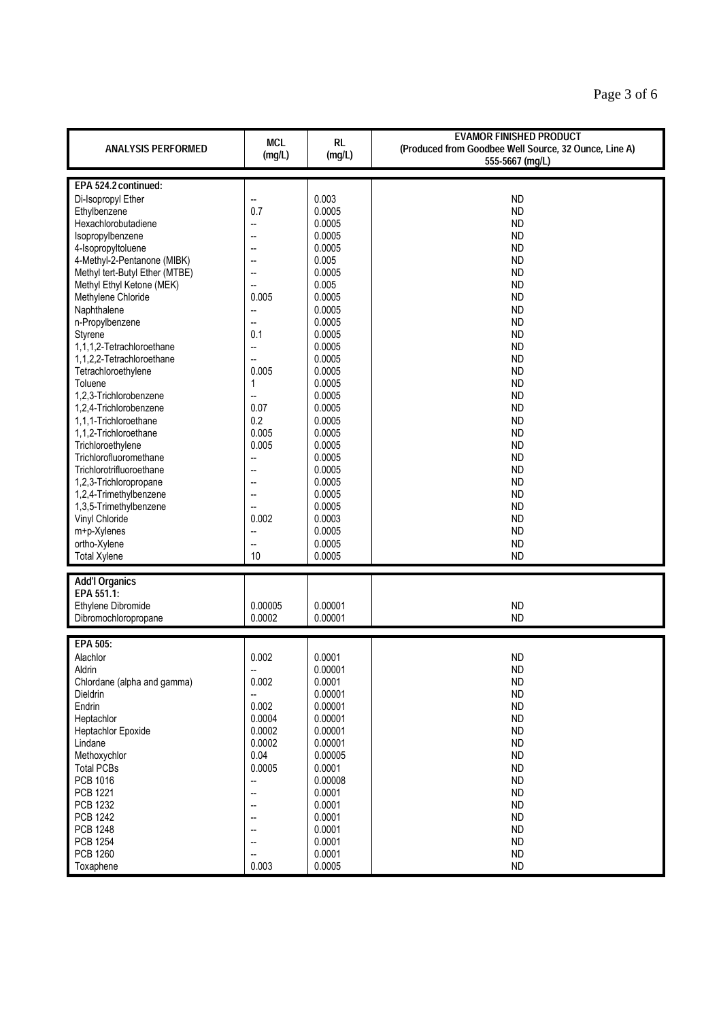| <b>ANALYSIS PERFORMED</b>      | <b>MCL</b><br>(mg/L) | <b>RL</b><br>(mg/L) | <b>EVAMOR FINISHED PRODUCT</b><br>(Produced from Goodbee Well Source, 32 Ounce, Line A)<br>555-5667 (mg/L) |
|--------------------------------|----------------------|---------------------|------------------------------------------------------------------------------------------------------------|
|                                |                      |                     |                                                                                                            |
| EPA 524.2 continued:           |                      |                     |                                                                                                            |
| Di-Isopropyl Ether             | Щ,                   | 0.003               | <b>ND</b>                                                                                                  |
| Ethylbenzene                   | 0.7                  | 0.0005              | <b>ND</b>                                                                                                  |
| Hexachlorobutadiene            |                      | 0.0005              | <b>ND</b>                                                                                                  |
| Isopropylbenzene               | --                   | 0.0005              | <b>ND</b>                                                                                                  |
| 4-Isopropyltoluene             | --                   | 0.0005              | <b>ND</b>                                                                                                  |
| 4-Methyl-2-Pentanone (MIBK)    | --                   | 0.005               | <b>ND</b>                                                                                                  |
| Methyl tert-Butyl Ether (MTBE) | Щ,                   | 0.0005              | <b>ND</b>                                                                                                  |
| Methyl Ethyl Ketone (MEK)      | --                   | 0.005               | <b>ND</b>                                                                                                  |
| Methylene Chloride             | 0.005                | 0.0005              | <b>ND</b>                                                                                                  |
| Naphthalene                    | --                   | 0.0005              | <b>ND</b>                                                                                                  |
| n-Propylbenzene                | Щ,                   | 0.0005              | <b>ND</b>                                                                                                  |
| Styrene                        | 0.1                  | 0.0005              | <b>ND</b>                                                                                                  |
| 1,1,1,2-Tetrachloroethane      | L.                   | 0.0005              | <b>ND</b>                                                                                                  |
| 1,1,2,2-Tetrachloroethane      | Щ,                   | 0.0005              | <b>ND</b>                                                                                                  |
| Tetrachloroethylene            | 0.005                | 0.0005              | <b>ND</b>                                                                                                  |
| Toluene                        | 1                    | 0.0005              | <b>ND</b>                                                                                                  |
| 1,2,3-Trichlorobenzene         | --                   | 0.0005              | <b>ND</b>                                                                                                  |
| 1,2,4-Trichlorobenzene         | 0.07                 | 0.0005              | <b>ND</b>                                                                                                  |
| 1,1,1-Trichloroethane          | 0.2                  | 0.0005              | <b>ND</b>                                                                                                  |
| 1,1,2-Trichloroethane          | 0.005                | 0.0005              | <b>ND</b>                                                                                                  |
| Trichloroethylene              | 0.005                | 0.0005              | <b>ND</b>                                                                                                  |
| Trichlorofluoromethane         |                      | 0.0005              |                                                                                                            |
|                                | --                   |                     | <b>ND</b>                                                                                                  |
| Trichlorotrifluoroethane       | --                   | 0.0005              | <b>ND</b>                                                                                                  |
| 1,2,3-Trichloropropane         | --                   | 0.0005              | <b>ND</b>                                                                                                  |
| 1,2,4-Trimethylbenzene         | --                   | 0.0005              | <b>ND</b>                                                                                                  |
| 1,3,5-Trimethylbenzene         | --                   | 0.0005              | <b>ND</b>                                                                                                  |
| Vinyl Chloride                 | 0.002                | 0.0003              | <b>ND</b>                                                                                                  |
| m+p-Xylenes                    | Щ,                   | 0.0005              | <b>ND</b>                                                                                                  |
| ortho-Xylene                   | --                   | 0.0005              | <b>ND</b>                                                                                                  |
| <b>Total Xylene</b>            | 10                   | 0.0005              | <b>ND</b>                                                                                                  |
| <b>Add'l Organics</b>          |                      |                     |                                                                                                            |
| EPA 551.1:                     |                      |                     |                                                                                                            |
| Ethylene Dibromide             | 0.00005              | 0.00001             | <b>ND</b>                                                                                                  |
| Dibromochloropropane           | 0.0002               | 0.00001             | <b>ND</b>                                                                                                  |
|                                |                      |                     |                                                                                                            |
| <b>EPA 505:</b>                |                      |                     |                                                                                                            |
| Alachlor                       | 0.002                | 0.0001              | <b>ND</b>                                                                                                  |
| Aldrin                         |                      | 0.00001             | <b>ND</b>                                                                                                  |
| Chlordane (alpha and gamma)    | 0.002                | 0.0001              | <b>ND</b>                                                                                                  |
| Dieldrin                       | --                   | 0.00001             | <b>ND</b>                                                                                                  |
| Endrin                         | 0.002                | 0.00001             | <b>ND</b>                                                                                                  |
| Heptachlor                     | 0.0004               | 0.00001             | <b>ND</b>                                                                                                  |
| <b>Heptachlor Epoxide</b>      | 0.0002               | 0.00001             | <b>ND</b>                                                                                                  |
| Lindane                        | 0.0002               | 0.00001             | <b>ND</b>                                                                                                  |
| Methoxychlor                   | 0.04                 | 0.00005             | <b>ND</b>                                                                                                  |
| <b>Total PCBs</b>              | 0.0005               | 0.0001              | <b>ND</b>                                                                                                  |
| PCB 1016                       | --                   | 0.00008             | <b>ND</b>                                                                                                  |
| <b>PCB 1221</b>                | --                   | 0.0001              | <b>ND</b>                                                                                                  |
| PCB 1232                       |                      |                     |                                                                                                            |
|                                |                      | 0.0001              | <b>ND</b>                                                                                                  |
| <b>PCB 1242</b>                | --                   | 0.0001              | <b>ND</b>                                                                                                  |
| <b>PCB 1248</b>                |                      | 0.0001              | <b>ND</b>                                                                                                  |
| <b>PCB 1254</b>                | --                   | 0.0001              | <b>ND</b>                                                                                                  |
| <b>PCB 1260</b>                | --                   | 0.0001              | <b>ND</b>                                                                                                  |
| Toxaphene                      | 0.003                | 0.0005              | <b>ND</b>                                                                                                  |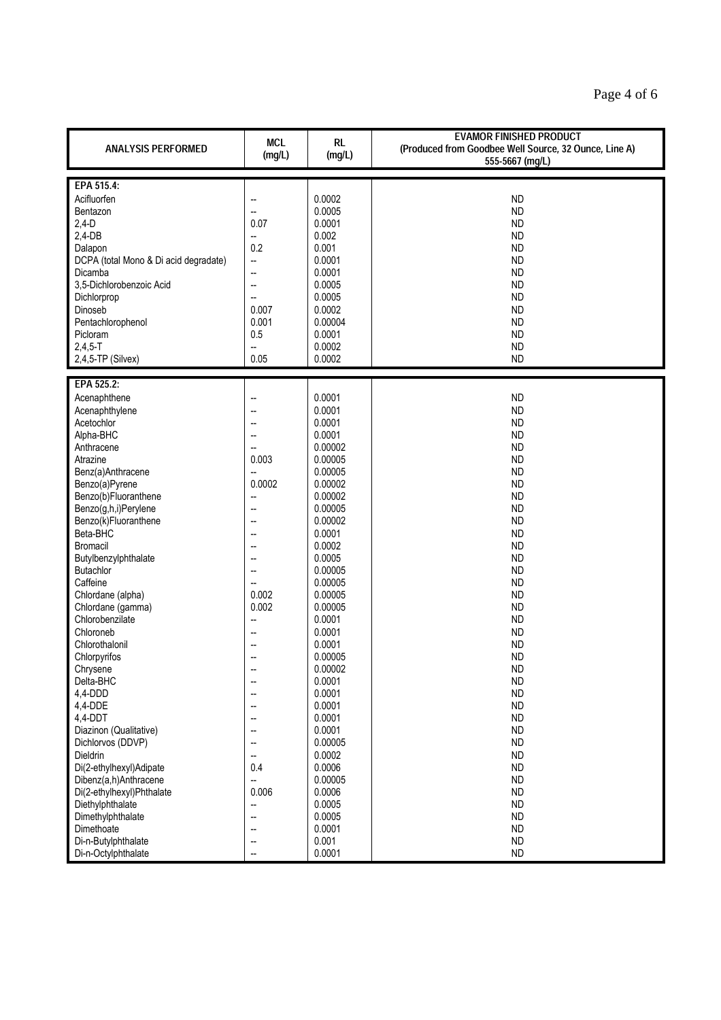| <b>ANALYSIS PERFORMED</b>             | <b>MCL</b><br>(mg/L)     | <b>RL</b><br>(mg/L) | <b>EVAMOR FINISHED PRODUCT</b><br>(Produced from Goodbee Well Source, 32 Ounce, Line A)<br>555-5667 (mg/L) |
|---------------------------------------|--------------------------|---------------------|------------------------------------------------------------------------------------------------------------|
|                                       |                          |                     |                                                                                                            |
| EPA 515.4:                            |                          |                     |                                                                                                            |
| Acifluorfen                           | --                       | 0.0002              | <b>ND</b>                                                                                                  |
| Bentazon                              | -−                       | 0.0005              | <b>ND</b>                                                                                                  |
| $2,4-D$                               | 0.07                     | 0.0001              | <b>ND</b>                                                                                                  |
| $2,4$ -DB                             | ÷.                       | 0.002               | <b>ND</b>                                                                                                  |
| Dalapon                               | 0.2                      | 0.001               | <b>ND</b>                                                                                                  |
| DCPA (total Mono & Di acid degradate) | Щ,                       | 0.0001              | <b>ND</b>                                                                                                  |
| Dicamba                               | --                       | 0.0001              | <b>ND</b>                                                                                                  |
| 3,5-Dichlorobenzoic Acid              | $\overline{\phantom{a}}$ | 0.0005              | <b>ND</b>                                                                                                  |
| Dichlorprop                           | --                       | 0.0005              | <b>ND</b>                                                                                                  |
| Dinoseb                               | 0.007                    | 0.0002              | <b>ND</b>                                                                                                  |
| Pentachlorophenol                     | 0.001                    | 0.00004             | <b>ND</b>                                                                                                  |
| Picloram                              | 0.5                      | 0.0001              | <b>ND</b>                                                                                                  |
| $2,4,5 - T$                           | ш,                       | 0.0002              | <b>ND</b>                                                                                                  |
|                                       |                          |                     |                                                                                                            |
| $2,4,5$ -TP (Silvex)                  | 0.05                     | 0.0002              | <b>ND</b>                                                                                                  |
| EPA 525.2:                            |                          |                     |                                                                                                            |
|                                       |                          | 0.0001              |                                                                                                            |
| Acenaphthene                          |                          |                     | <b>ND</b>                                                                                                  |
| Acenaphthylene                        | --                       | 0.0001              | <b>ND</b>                                                                                                  |
| Acetochlor                            |                          | 0.0001              | <b>ND</b>                                                                                                  |
| Alpha-BHC                             | --                       | 0.0001              | <b>ND</b>                                                                                                  |
| Anthracene                            | --                       | 0.00002             | <b>ND</b>                                                                                                  |
| Atrazine                              | 0.003                    | 0.00005             | <b>ND</b>                                                                                                  |
| Benz(a)Anthracene                     | ш,                       | 0.00005             | <b>ND</b>                                                                                                  |
| Benzo(a)Pyrene                        | 0.0002                   | 0.00002             | <b>ND</b>                                                                                                  |
| Benzo(b)Fluoranthene                  | $\overline{\phantom{a}}$ | 0.00002             | <b>ND</b>                                                                                                  |
| Benzo(g,h,i)Perylene                  | --                       | 0.00005             | <b>ND</b>                                                                                                  |
| Benzo(k)Fluoranthene                  | --                       | 0.00002             | <b>ND</b>                                                                                                  |
| Beta-BHC                              |                          | 0.0001              | <b>ND</b>                                                                                                  |
| Bromacil                              |                          | 0.0002              | <b>ND</b>                                                                                                  |
| Butylbenzylphthalate                  | Ξ.                       | 0.0005              | <b>ND</b>                                                                                                  |
| <b>Butachlor</b>                      | $\overline{a}$           | 0.00005             | <b>ND</b>                                                                                                  |
| Caffeine                              | $\overline{\phantom{a}}$ | 0.00005             | <b>ND</b>                                                                                                  |
| Chlordane (alpha)                     | 0.002                    | 0.00005             | <b>ND</b>                                                                                                  |
| Chlordane (gamma)                     | 0.002                    | 0.00005             | <b>ND</b>                                                                                                  |
| Chlorobenzilate                       | $\overline{\phantom{a}}$ | 0.0001              | <b>ND</b>                                                                                                  |
| Chloroneb                             | --                       | 0.0001              | <b>ND</b>                                                                                                  |
| Chlorothalonil                        |                          | 0.0001              | <b>ND</b>                                                                                                  |
| Chlorpyrifos                          | --                       | 0.00005             | <b>ND</b>                                                                                                  |
|                                       |                          | 0.00002             | <b>ND</b>                                                                                                  |
| Chrysene<br>Delta-BHC                 | $\overline{\phantom{a}}$ | 0.0001              | <b>ND</b>                                                                                                  |
| 4,4-DDD                               | --                       | 0.0001              | <b>ND</b>                                                                                                  |
|                                       |                          |                     |                                                                                                            |
| 4,4-DDE                               |                          | 0.0001              | <b>ND</b>                                                                                                  |
| 4,4-DDT                               |                          | 0.0001              | <b>ND</b>                                                                                                  |
| Diazinon (Qualitative)                | --                       | 0.0001              | <b>ND</b>                                                                                                  |
| Dichlorvos (DDVP)                     | $\sim$                   | 0.00005             | <b>ND</b>                                                                                                  |
| Dieldrin                              | --                       | 0.0002              | <b>ND</b>                                                                                                  |
| Di(2-ethylhexyl)Adipate               | 0.4                      | 0.0006              | <b>ND</b>                                                                                                  |
| Dibenz(a,h)Anthracene                 | $\overline{\phantom{a}}$ | 0.00005             | <b>ND</b>                                                                                                  |
| Di(2-ethylhexyl)Phthalate             | 0.006                    | 0.0006              | <b>ND</b>                                                                                                  |
| Diethylphthalate                      | -−                       | 0.0005              | <b>ND</b>                                                                                                  |
| Dimethylphthalate                     | --                       | 0.0005              | <b>ND</b>                                                                                                  |
| Dimethoate                            | --                       | 0.0001              | <b>ND</b>                                                                                                  |
| Di-n-Butylphthalate                   | --                       | 0.001               | <b>ND</b>                                                                                                  |
| Di-n-Octylphthalate                   | $\overline{\phantom{a}}$ | 0.0001              | <b>ND</b>                                                                                                  |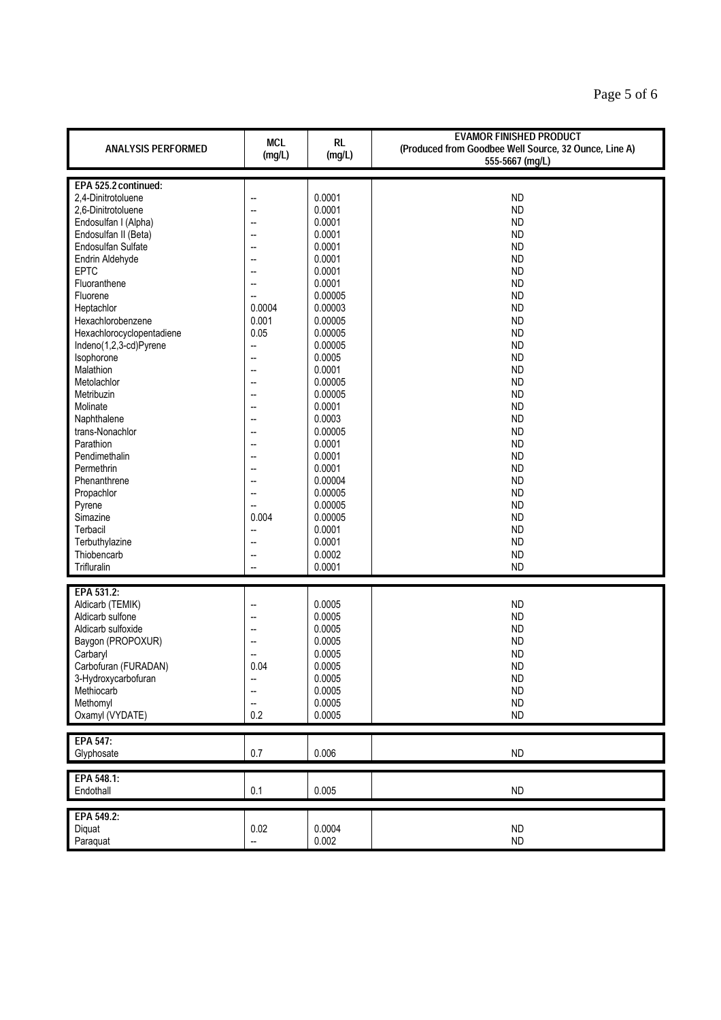| <b>ANALYSIS PERFORMED</b> | <b>MCL</b><br>(mg/L)     | <b>RL</b><br>(mg/L) | <b>EVAMOR FINISHED PRODUCT</b><br>(Produced from Goodbee Well Source, 32 Ounce, Line A)<br>555-5667 (mg/L) |
|---------------------------|--------------------------|---------------------|------------------------------------------------------------------------------------------------------------|
|                           |                          |                     |                                                                                                            |
| EPA 525.2 continued:      |                          |                     |                                                                                                            |
| 2,4-Dinitrotoluene        |                          | 0.0001              | <b>ND</b>                                                                                                  |
| 2,6-Dinitrotoluene        |                          | 0.0001              | <b>ND</b>                                                                                                  |
| Endosulfan I (Alpha)      | --                       | 0.0001              | <b>ND</b>                                                                                                  |
|                           |                          | 0.0001              |                                                                                                            |
| Endosulfan II (Beta)      |                          |                     | <b>ND</b>                                                                                                  |
| Endosulfan Sulfate        |                          | 0.0001              | <b>ND</b>                                                                                                  |
| Endrin Aldehyde           |                          | 0.0001              | <b>ND</b>                                                                                                  |
| <b>EPTC</b>               | --                       | 0.0001              | <b>ND</b>                                                                                                  |
| Fluoranthene              |                          | 0.0001              | <b>ND</b>                                                                                                  |
| Fluorene                  | --                       | 0.00005             | <b>ND</b>                                                                                                  |
| Heptachlor                | 0.0004                   | 0.00003             | <b>ND</b>                                                                                                  |
| Hexachlorobenzene         | 0.001                    | 0.00005             | <b>ND</b>                                                                                                  |
|                           |                          |                     |                                                                                                            |
| Hexachlorocyclopentadiene | 0.05                     | 0.00005             | <b>ND</b>                                                                                                  |
| Indeno(1,2,3-cd)Pyrene    | -−                       | 0.00005             | <b>ND</b>                                                                                                  |
| Isophorone                | --                       | 0.0005              | <b>ND</b>                                                                                                  |
| Malathion                 | Ξ.                       | 0.0001              | <b>ND</b>                                                                                                  |
| Metolachlor               | --                       | 0.00005             | <b>ND</b>                                                                                                  |
| Metribuzin                |                          | 0.00005             | <b>ND</b>                                                                                                  |
| Molinate                  |                          | 0.0001              | <b>ND</b>                                                                                                  |
|                           |                          | 0.0003              | <b>ND</b>                                                                                                  |
| Naphthalene               |                          |                     |                                                                                                            |
| trans-Nonachlor           | --                       | 0.00005             | <b>ND</b>                                                                                                  |
| Parathion                 |                          | 0.0001              | <b>ND</b>                                                                                                  |
| Pendimethalin             |                          | 0.0001              | <b>ND</b>                                                                                                  |
| Permethrin                | Ξ.                       | 0.0001              | <b>ND</b>                                                                                                  |
| Phenanthrene              |                          | 0.00004             | <b>ND</b>                                                                                                  |
| Propachlor                | Ξ.                       | 0.00005             | <b>ND</b>                                                                                                  |
| Pyrene                    | --                       | 0.00005             | <b>ND</b>                                                                                                  |
|                           |                          | 0.00005             | <b>ND</b>                                                                                                  |
| Simazine                  | 0.004                    |                     |                                                                                                            |
| Terbacil                  | --                       | 0.0001              | <b>ND</b>                                                                                                  |
| Terbuthylazine            | --                       | 0.0001              | <b>ND</b>                                                                                                  |
| Thiobencarb               |                          | 0.0002              | <b>ND</b>                                                                                                  |
| Trifluralin               |                          | 0.0001              | <b>ND</b>                                                                                                  |
|                           |                          |                     |                                                                                                            |
| EPA 531.2:                |                          |                     |                                                                                                            |
| Aldicarb (TEMIK)          | ц,                       | 0.0005              | <b>ND</b>                                                                                                  |
| Aldicarb sulfone          |                          | 0.0005              | <b>ND</b>                                                                                                  |
|                           |                          | 0.0005              |                                                                                                            |
| Aldicarb sulfoxide        | --                       |                     | <b>ND</b>                                                                                                  |
| Baygon (PROPOXUR)         |                          | 0.0005              | <b>ND</b>                                                                                                  |
| Carbaryl                  |                          | 0.0005              | <b>ND</b>                                                                                                  |
| Carbofuran (FURADAN)      | 0.04                     | 0.0005              | <b>ND</b>                                                                                                  |
| 3-Hydroxycarbofuran       | --                       | 0.0005              | <b>ND</b>                                                                                                  |
| Methiocarb                | --                       | 0.0005              | <b>ND</b>                                                                                                  |
| Methomyl                  | --                       | 0.0005              | ND                                                                                                         |
| Oxamyl (VYDATE)           | 0.2                      | 0.0005              | <b>ND</b>                                                                                                  |
|                           |                          |                     |                                                                                                            |
| EPA 547:                  |                          |                     |                                                                                                            |
| Glyphosate                | 0.7                      | 0.006               | ND                                                                                                         |
|                           |                          |                     |                                                                                                            |
| EPA 548.1:                |                          |                     |                                                                                                            |
| Endothall                 | 0.1                      | 0.005               | ND                                                                                                         |
|                           |                          |                     |                                                                                                            |
| EPA 549.2:                |                          |                     |                                                                                                            |
| Diquat                    | 0.02                     | 0.0004              | <b>ND</b>                                                                                                  |
| Paraquat                  | $\overline{\phantom{a}}$ | 0.002               | ND                                                                                                         |
|                           |                          |                     |                                                                                                            |